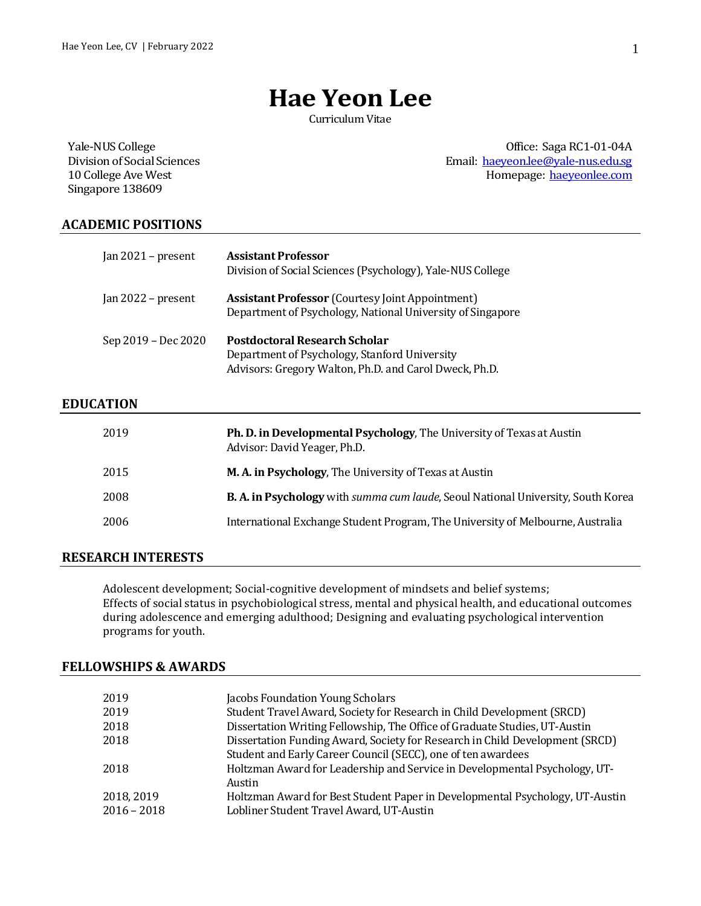# **Hae Yeon Lee**

Curriculum Vitae

Yale-NUS College Division of Social Sciences 10 College Ave West Singapore 138609

Office: Saga RC1-01-04A Email: [haeyeon.lee@yale-nus.edu.sg](mailto:haeyeon.lee@yale-nus.edu.sg) Homepage: [haeyeonlee.com](http://haeyeonlee.com/)

## **ACADEMIC POSITIONS**

| Jan $2021$ – present | <b>Assistant Professor</b><br>Division of Social Sciences (Psychology), Yale-NUS College                                                        |
|----------------------|-------------------------------------------------------------------------------------------------------------------------------------------------|
| Jan $2022$ – present | <b>Assistant Professor</b> (Courtesy Joint Appointment)<br>Department of Psychology, National University of Singapore                           |
| Sep 2019 – Dec 2020  | <b>Postdoctoral Research Scholar</b><br>Department of Psychology, Stanford University<br>Advisors: Gregory Walton, Ph.D. and Carol Dweck, Ph.D. |

## **EDUCATION**

| 2019 | Ph. D. in Developmental Psychology, The University of Texas at Austin<br>Advisor: David Yeager, Ph.D. |
|------|-------------------------------------------------------------------------------------------------------|
| 2015 | <b>M.A. in Psychology, The University of Texas at Austin</b>                                          |
| 2008 | <b>B. A. in Psychology</b> with <i>summa cum laude</i> , Seoul National University, South Korea       |
| 2006 | International Exchange Student Program, The University of Melbourne, Australia                        |
|      |                                                                                                       |

#### **RESEARCH INTERESTS**

Adolescent development; Social-cognitive development of mindsets and belief systems; Effects of social status in psychobiological stress, mental and physical health, and educational outcomes during adolescence and emerging adulthood; Designing and evaluating psychological intervention programs for youth.

#### **FELLOWSHIPS & AWARDS**

| 2019          | Jacobs Foundation Young Scholars                                             |
|---------------|------------------------------------------------------------------------------|
| 2019          | Student Travel Award, Society for Research in Child Development (SRCD)       |
| 2018          | Dissertation Writing Fellowship, The Office of Graduate Studies, UT-Austin   |
| 2018          | Dissertation Funding Award, Society for Research in Child Development (SRCD) |
|               | Student and Early Career Council (SECC), one of ten awardees                 |
| 2018          | Holtzman Award for Leadership and Service in Developmental Psychology, UT-   |
|               | Austin                                                                       |
| 2018, 2019    | Holtzman Award for Best Student Paper in Developmental Psychology, UT-Austin |
| $2016 - 2018$ | Lobliner Student Travel Award, UT-Austin                                     |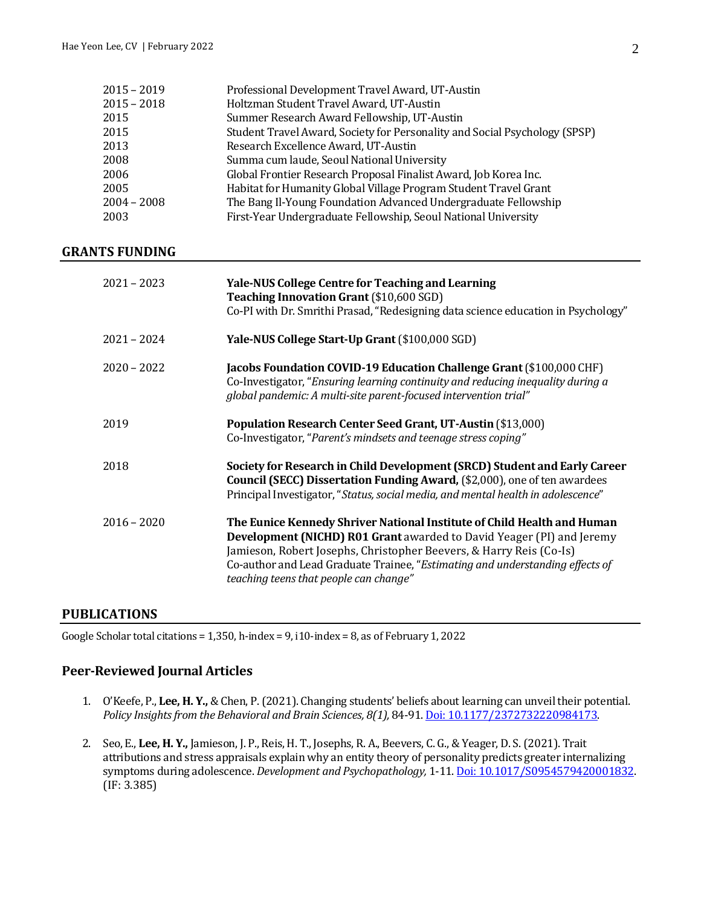| $2015 - 2019$ | Professional Development Travel Award, UT-Austin                           |
|---------------|----------------------------------------------------------------------------|
| $2015 - 2018$ | Holtzman Student Travel Award, UT-Austin                                   |
| 2015          | Summer Research Award Fellowship, UT-Austin                                |
| 2015          | Student Travel Award, Society for Personality and Social Psychology (SPSP) |
| 2013          | Research Excellence Award, UT-Austin                                       |
| 2008          | Summa cum laude, Seoul National University                                 |
| 2006          | Global Frontier Research Proposal Finalist Award, Job Korea Inc.           |
| 2005          | Habitat for Humanity Global Village Program Student Travel Grant           |
| $2004 - 2008$ | The Bang Il-Young Foundation Advanced Undergraduate Fellowship             |
| 2003          | First-Year Undergraduate Fellowship, Seoul National University             |

### **GRANTS FUNDING**

| $2021 - 2023$ | <b>Yale-NUS College Centre for Teaching and Learning</b><br><b>Teaching Innovation Grant (\$10,600 SGD)</b><br>Co-PI with Dr. Smrithi Prasad, "Redesigning data science education in Psychology"                                                                                                                                                   |
|---------------|----------------------------------------------------------------------------------------------------------------------------------------------------------------------------------------------------------------------------------------------------------------------------------------------------------------------------------------------------|
| $2021 - 2024$ | Yale-NUS College Start-Up Grant (\$100,000 SGD)                                                                                                                                                                                                                                                                                                    |
| $2020 - 2022$ | Jacobs Foundation COVID-19 Education Challenge Grant (\$100,000 CHF)<br>Co-Investigator, "Ensuring learning continuity and reducing inequality during a<br>global pandemic: A multi-site parent-focused intervention trial"                                                                                                                        |
| 2019          | Population Research Center Seed Grant, UT-Austin (\$13,000)<br>Co-Investigator, "Parent's mindsets and teenage stress coping"                                                                                                                                                                                                                      |
| 2018          | Society for Research in Child Development (SRCD) Student and Early Career<br><b>Council (SECC) Dissertation Funding Award, (\$2,000), one of ten awardees</b><br>Principal Investigator, "Status, social media, and mental health in adolescence"                                                                                                  |
| $2016 - 2020$ | The Eunice Kennedy Shriver National Institute of Child Health and Human<br>Development (NICHD) R01 Grant awarded to David Yeager (PI) and Jeremy<br>Jamieson, Robert Josephs, Christopher Beevers, & Harry Reis (Co-Is)<br>Co-author and Lead Graduate Trainee, "Estimating and understanding effects of<br>teaching teens that people can change" |

## **PUBLICATIONS**

Google Scholar total citations = 1,350, h-index = 9, i10-index = 8, as of February 1, 2022

# **Peer-Reviewed Journal Articles**

- 1. O'Keefe, P., **Lee, H. Y.,** & Chen, P. (2021). Changing students' beliefs about learning can unveil their potential. *Policy Insights from the Behavioral and Brain Sciences, 8(1),* 84-91. [Doi: 10.1177/2372732220984173.](https://journals.sagepub.com/doi/abs/10.1177/2372732220984173?journalCode=bbsa)
- 2. Seo, E., **Lee, H. Y.,** Jamieson, J. P., Reis, H. T., Josephs, R. A., Beevers, C. G., & Yeager, D. S. (2021). Trait attributions and stress appraisals explain why an entity theory of personality predicts greater internalizing symptoms during adolescence. *Development and Psychopathology,* 1-11[. Doi: 10.1017/S0954579420001832.](https://www.cambridge.org/core/journals/development-and-psychopathology/article/abs/trait-attributions-and-threat-appraisals-explain-why-an-entity-theory-of-personality-predicts-greater-internalizing-symptoms-during-adolescence/3BBE08E0EC6B43F40995E7456B586C73) (IF: 3.385)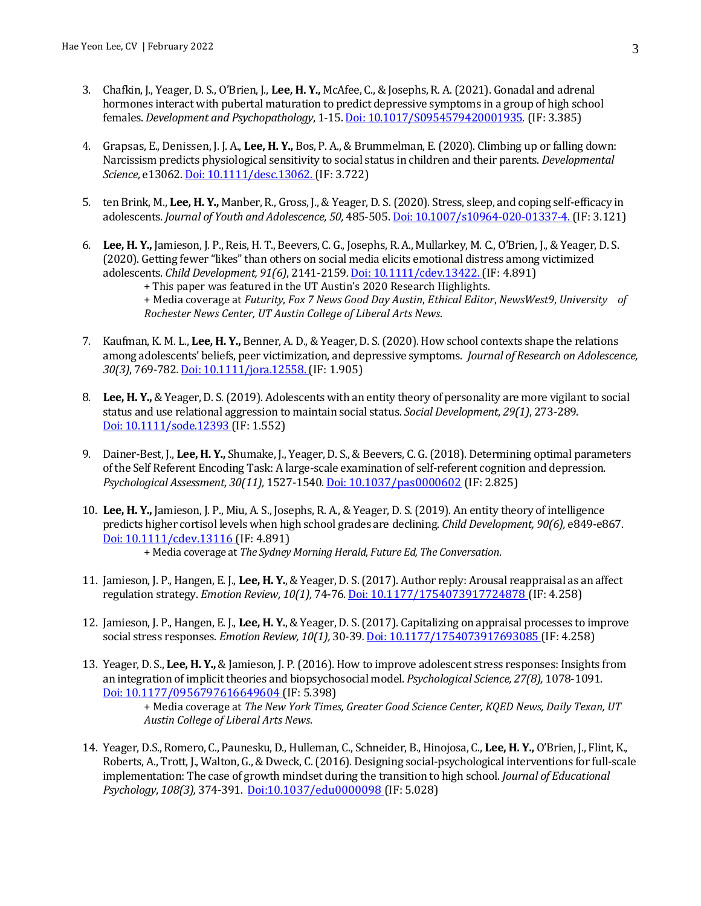- 3. Chafkin, J., Yeager, D. S., O'Brien, J., **Lee, H. Y.,** McAfee, C., & Josephs, R. A. (2021). Gonadal and adrenal hormones interact with pubertal maturation to predict depressive symptoms in a group of high school females. *Development and Psychopathology*, 1-15[. Doi: 10.1017/S0954579420001935.](https://www.cambridge.org/core/journals/development-and-psychopathology/article/abs/gonadal-and-adrenal-hormones-interact-with-pubertal-maturation-to-predict-depressive-symptoms-in-a-group-of-highschool-females/9D79305005263E0DE0BC872EE8C2B3E0) (IF: 3.385)
- 4. Grapsas, E., Denissen, J. J. A., **Lee, H. Y.,** Bos, P. A., & Brummelman, E. (2020). Climbing up or falling down: Narcissism predicts physiological sensitivity to social status in children and their parents. *Developmental Science,* e13062*.* [Doi: 10.1111/desc.13062.](https://onlinelibrary.wiley.com/doi/full/10.1111/desc.13062)(IF: 3.722)
- 5. ten Brink, M., **Lee, H. Y.,** Manber, R., Gross, J., & Yeager, D. S. (2020). Stress, sleep, and coping self-efficacy in adolescents. *Journal of Youth and Adolescence, 50,* 485-505[. Doi: 10.1007/s10964-020-01337-4.](https://link.springer.com/article/10.1007/s10964-020-01337-4) (IF: 3.121)
- 6. **Lee, H. Y.,** Jamieson, J. P., Reis, H. T., Beevers, C. G., Josephs, R. A., Mullarkey, M. C., O'Brien, J., & Yeager, D. S. (2020). Getting fewer "likes" than others on social media elicits emotional distress among victimized adolescents. *Child Development, 91(6)*, 2141-2159*.* [Doi: 10.1111/cdev.13422.](https://srcd.onlinelibrary.wiley.com/doi/10.1111/cdev.13422)(IF: 4.891) + This paper was featured in the UT Austin's 2020 Research Highlights. + Media coverage at *Futurity*, *Fox 7 News Good Day Austin*, *Ethical Editor*, *NewsWest9*, *University of Rochester News Center, UT Austin College of Liberal Arts News*.
- 7. Kaufman, K. M. L., **Lee, H. Y.,** Benner, A. D., & Yeager, D. S. (2020). How school contexts shape the relations among adolescents' beliefs, peer victimization, and depressive symptoms. *Journal of Research on Adolescence, 30(3)*, 769-782*.* [Doi: 10.1111/jora.12558.\(](https://onlinelibrary.wiley.com/doi/full/10.1111/jora.12558)IF: 1.905)
- 8. **Lee, H. Y.,** & Yeager, D. S. (2019). Adolescents with an entity theory of personality are more vigilant to social status and use relational aggression to maintain social status. *Social Development*, *29(1)*, 273-289. [Doi: 10.1111/sode.12393](https://onlinelibrary.wiley.com/doi/abs/10.1111/sode.12393) (IF: 1.552)
- 9. Dainer-Best, J., **Lee, H. Y.,** Shumake, J., Yeager, D. S., & Beevers, C. G. (2018). Determining optimal parameters of the Self Referent Encoding Task: A large-scale examination of self-referent cognition and depression. *Psychological Assessment, 30(11),* 1527-1540. [Doi: 10.1037/pas0000602](https://psycnet.apa.org/record/2018-25404-001) (IF: 2.825)
- 10. **Lee, H. Y.,** Jamieson, J. P., Miu, A. S., Josephs, R. A., & Yeager, D. S. (2019). An entity theory of intelligence predicts higher cortisol levels when high school grades are declining. *Child Development, 90(6),* e849-e867*.* [Doi: 10.1111/cdev.13116](https://onlinelibrary.wiley.com/doi/abs/10.1111/cdev.13116) (IF: 4.891) + Media coverage at *The Sydney Morning Herald*, *Future Ed, The Conversation*.
- 11. Jamieson, J. P., Hangen, E. J., **Lee, H. Y.**, & Yeager, D. S. (2017). Author reply: Arousal reappraisal as an affect regulation strategy. *Emotion Review, 10(1),* 74-76. [Doi: 10.1177/1754073917724878](https://psycnet.apa.org/record/2018-07844-015) (IF: 4.258)
- 12. Jamieson, J. P., Hangen, E. J., **Lee, H. Y.**, & Yeager, D. S. (2017). Capitalizing on appraisal processes to improve social stress responses. *Emotion Review, 10(1),* 30-39*.*[Doi: 10.1177/1754073917693085](https://journals.sagepub.com/doi/10.1177/1754073917693085) (IF: 4.258)
- 13. Yeager, D. S., **Lee, H. Y.,** & Jamieson, J. P. (2016). How to improve adolescent stress responses: Insights from an integration of implicit theories and biopsychosocial model. *Psychological Science, 27(8),* 1078-1091. [Doi: 10.1177/0956797616649604](https://journals.sagepub.com/doi/abs/10.1177/0956797616649604?journalCode=pssa) (IF: 5.398)

+ Media coverage at *The New York Times, Greater Good Science Center, KQED News, Daily Texan, UT Austin College of Liberal Arts News*.

14. Yeager, D.S., Romero, C., Paunesku, D., Hulleman, C., Schneider, B., Hinojosa, C., **Lee, H. Y.,** O'Brien, J., Flint, K., Roberts, A., Trott, J., Walton, G., & Dweck, C. (2016). Designing social-psychological interventions for full-scale implementation: The case of growth mindset during the transition to high school. *Journal of Educational Psychology*, *108(3),* 374-391. [Doi:10.1037/edu0000098](https://psycnet.apa.org/buy/2016-15978-005) (IF: 5.028)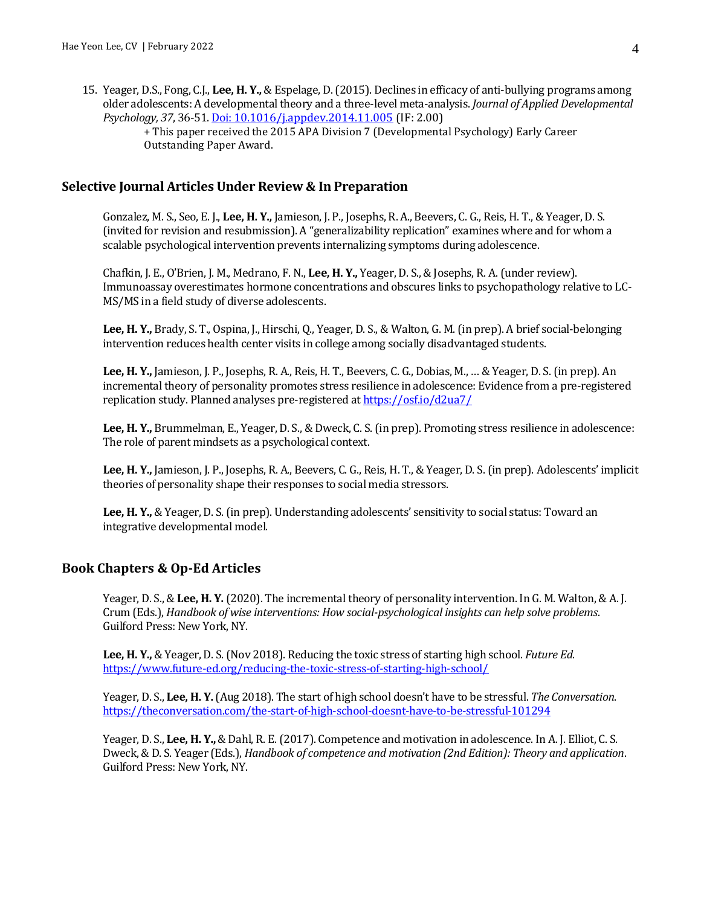15. Yeager, D.S., Fong, C.J., **Lee, H. Y.,** & Espelage, D. (2015). Declines in efficacy of anti-bullying programs among older adolescents: A developmental theory and a three-level meta-analysis. *Journal of Applied Developmental Psychology, 37*, 36-51. [Doi: 10.1016/j.appdev.2014.11.005](https://psycnet.apa.org/record/2015-03725-001) (IF: 2.00)

+ This paper received the 2015 APA Division 7 (Developmental Psychology) Early Career Outstanding Paper Award.

#### **Selective Journal Articles Under Review & In Preparation**

Gonzalez, M. S., Seo, E. J., **Lee, H. Y.,** Jamieson, J. P., Josephs, R. A., Beevers, C. G., Reis, H. T., & Yeager, D. S. (invited for revision and resubmission). A "generalizability replication" examines where and for whom a scalable psychological intervention prevents internalizing symptoms during adolescence.

Chafkin, J. E., O'Brien, J. M., Medrano, F. N., **Lee, H. Y.,** Yeager, D. S., & Josephs, R. A. (under review). Immunoassay overestimates hormone concentrations and obscures links to psychopathology relative to LC-MS/MS in a field study of diverse adolescents.

**Lee, H. Y.,** Brady, S. T., Ospina, J., Hirschi, Q., Yeager, D. S., & Walton, G. M. (in prep). A brief social-belonging intervention reduces health center visits in college among socially disadvantaged students.

**Lee, H. Y.,** Jamieson, J. P., Josephs, R. A., Reis, H. T., Beevers, C. G., Dobias, M., … & Yeager, D. S. (in prep). An incremental theory of personality promotes stress resilience in adolescence: Evidence from a pre-registered replication study. Planned analyses pre-registered a[t https://osf.io/d2ua7/](https://osf.io/d2ua7/)

**Lee, H. Y.,** Brummelman, E., Yeager, D. S., & Dweck, C. S. (in prep). Promoting stress resilience in adolescence: The role of parent mindsets as a psychological context.

**Lee, H. Y.,** Jamieson, J. P., Josephs, R. A., Beevers, C. G., Reis, H. T., & Yeager, D. S. (in prep). Adolescents' implicit theories of personality shape their responses to social media stressors.

**Lee, H. Y.,** & Yeager, D. S. (in prep). Understanding adolescents' sensitivity to social status: Toward an integrative developmental model.

#### **Book Chapters & Op-Ed Articles**

Yeager, D. S., & **Lee, H. Y.** (2020). The incremental theory of personality intervention. In G. M. Walton, & A. J. Crum (Eds.), *Handbook of wise interventions: How social-psychological insights can help solve problems*. Guilford Press: New York, NY.

**Lee, H. Y.,** & Yeager, D. S. (Nov 2018). Reducing the toxic stress of starting high school. *Future Ed*. <https://www.future-ed.org/reducing-the-toxic-stress-of-starting-high-school/>

Yeager, D. S., **Lee, H. Y.** (Aug 2018). The start of high school doesn't have to be stressful. *The Conversation*. <https://theconversation.com/the-start-of-high-school-doesnt-have-to-be-stressful-101294>

Yeager, D. S., **Lee, H. Y.,** & Dahl, R. E. (2017). Competence and motivation in adolescence. In A. J. Elliot, C. S. Dweck, & D. S. Yeager (Eds.), *Handbook of competence and motivation (2nd Edition): Theory and application*. Guilford Press: New York, NY.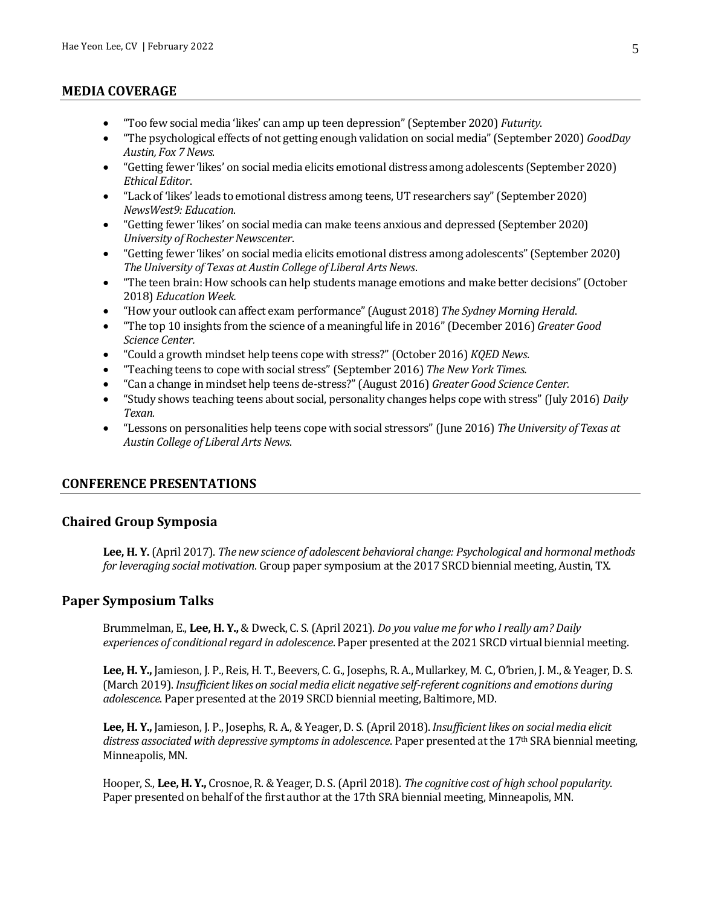# **MEDIA COVERAGE**

- "Too few social media 'likes' can amp up teen depression" (September 2020) *Futurity*.
- "The psychological effects of not getting enough validation on social media" (September 2020) *GoodDay Austin, Fox 7 News*.
- "Getting fewer 'likes' on social media elicits emotional distress among adolescents (September 2020) *Ethical Editor*.
- "Lack of 'likes' leads to emotional distress among teens, UT researchers say" (September 2020) *NewsWest9: Education*.
- "Getting fewer 'likes' on social media can make teens anxious and depressed (September 2020) *University of Rochester Newscenter*.
- "Getting fewer 'likes' on social media elicits emotional distress among adolescents" (September 2020) *The University of Texas at Austin College of Liberal Arts News*.
- "The teen brain: How schools can help students manage emotions and make better decisions" (October 2018) *Education Week.*
- "How your outlook can affect exam performance" (August 2018) *The Sydney Morning Herald*.
- "The top 10 insights from the science of a meaningful life in 2016" (December 2016) *Greater Good Science Center.*
- "Could a growth mindset help teens cope with stress?" (October 2016) *KQED News.*
- "Teaching teens to cope with social stress" (September 2016) *The New York Times.*
- "Can a change in mindset help teens de-stress?" (August 2016) *Greater Good Science Center.*
- "Study shows teaching teens about social, personality changes helps cope with stress" (July 2016) *Daily Texan.*
- "Lessons on personalities help teens cope with social stressors" (June 2016) *The University of Texas at Austin College of Liberal Arts News*.

## **CONFERENCE PRESENTATIONS**

## **Chaired Group Symposia**

**Lee, H. Y.** (April 2017). *The new science of adolescent behavioral change: Psychological and hormonal methods for leveraging social motivation*. Group paper symposium at the 2017 SRCD biennial meeting, Austin, TX.

#### **Paper Symposium Talks**

Brummelman, E., **Lee, H. Y.,** & Dweck, C. S. (April 2021). *Do you value me for who I really am? Daily experiences of conditional regard in adolescence*. Paper presented at the 2021 SRCD virtual biennial meeting.

**Lee, H. Y.,** Jamieson, J. P., Reis, H. T., Beevers, C. G., Josephs, R. A., Mullarkey, M. C., O'brien, J. M., & Yeager, D. S. (March 2019). *Insufficient likes on social media elicit negative self-referent cognitions and emotions during adolescence*. Paper presented at the 2019 SRCD biennial meeting, Baltimore, MD.

**Lee, H. Y.,** Jamieson, J. P., Josephs, R. A., & Yeager, D. S. (April 2018). *Insufficient likes on social media elicit distress associated with depressive symptoms in adolescence*. Paper presented at the 17th SRA biennial meeting, Minneapolis, MN.

Hooper, S., **Lee, H. Y.,** Crosnoe, R. & Yeager, D. S. (April 2018). *The cognitive cost of high school popularity*. Paper presented on behalf of the first author at the 17th SRA biennial meeting, Minneapolis, MN.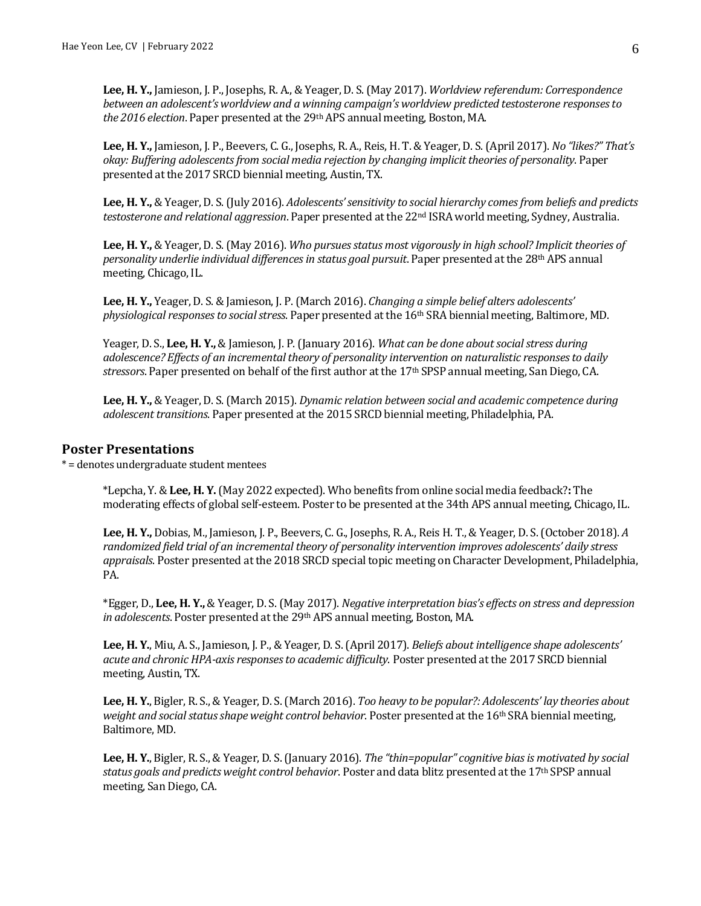**Lee, H. Y.,** Jamieson, J. P., Josephs, R. A., & Yeager, D. S. (May 2017). *Worldview referendum: Correspondence between an adolescent's worldview and a winning campaign's worldview predicted testosterone responses to the 2016 election*. Paper presented at the 29th APS annual meeting, Boston, MA.

**Lee, H. Y.,** Jamieson, J. P., Beevers, C. G., Josephs, R. A., Reis, H. T. & Yeager, D. S. (April 2017). *No "likes?" That's okay: Buffering adolescents from social media rejection by changing implicit theories of personality*. Paper presented atthe 2017 SRCD biennial meeting, Austin, TX.

Lee, H. Y., & Yeager, D. S. (July 2016). *Adolescents' sensitivity to social hierarchy comes from beliefs and predicts testosterone and relational aggression*. Paper presented at the 22nd ISRA world meeting, Sydney, Australia.

**Lee, H. Y.,** & Yeager, D. S. (May 2016). *Who pursues status most vigorously in high school? Implicit theories of personality underlie individual differences in status goal pursuit*. Paper presented at the 28th APS annual meeting, Chicago, IL.

**Lee, H. Y.,** Yeager, D. S. & Jamieson, J. P. (March 2016). *Changing a simple belief alters adolescents' physiological responses to social stress*. Paper presented at the 16th SRA biennial meeting, Baltimore, MD.

Yeager, D. S., **Lee, H. Y.,** & Jamieson, J. P. (January 2016). *What can be done about social stress during adolescence? Effects of an incremental theory of personality intervention on naturalistic responses to daily stressors*. Paper presented on behalf of the first author at the 17th SPSP annual meeting, San Diego, CA.

**Lee, H. Y.,** & Yeager, D. S. (March 2015). *Dynamic relation between social and academic competence during adolescent transitions*. Paper presented at the 2015 SRCD biennial meeting, Philadelphia, PA.

### **Poster Presentations**

\* = denotes undergraduate student mentees

\*Lepcha, Y. &**Lee, H. Y.** (May 2022 expected). Who benefits from online social media feedback?**:** The moderating effects of global self-esteem. Poster to be presented at the 34th APS annual meeting, Chicago, IL.

**Lee, H. Y.,** Dobias, M., Jamieson, J. P., Beevers, C. G., Josephs, R. A., Reis H. T., & Yeager, D. S. (October 2018). *A randomized field trial of an incremental theory of personality intervention improves adolescents' daily stress appraisals*. Poster presented at the 2018 SRCD special topic meeting on Character Development, Philadelphia, PA.

\*Egger, D., **Lee, H. Y.,** & Yeager, D. S. (May 2017). *Negative interpretation bias's effects on stress and depression in adolescents*. Poster presented at the 29th APS annual meeting, Boston, MA.

**Lee, H. Y.**, Miu, A. S., Jamieson, J. P., & Yeager, D. S. (April 2017). *Beliefs about intelligence shape adolescents' acute and chronic HPA-axis responses to academic difficulty*. Poster presented at the 2017 SRCD biennial meeting, Austin, TX.

**Lee, H. Y.**, Bigler, R. S., & Yeager, D. S. (March 2016). *Too heavy to be popular?: Adolescents' lay theories about weight and social status shape weight control behavior*. Poster presented at the 16th SRA biennial meeting, Baltimore, MD.

**Lee, H. Y.**, Bigler, R. S., & Yeager, D. S. (January 2016). *The "thin=popular" cognitive bias is motivated by social status goals and predicts weight control behavior*. Poster and data blitz presented at the 17th SPSP annual meeting, San Diego, CA.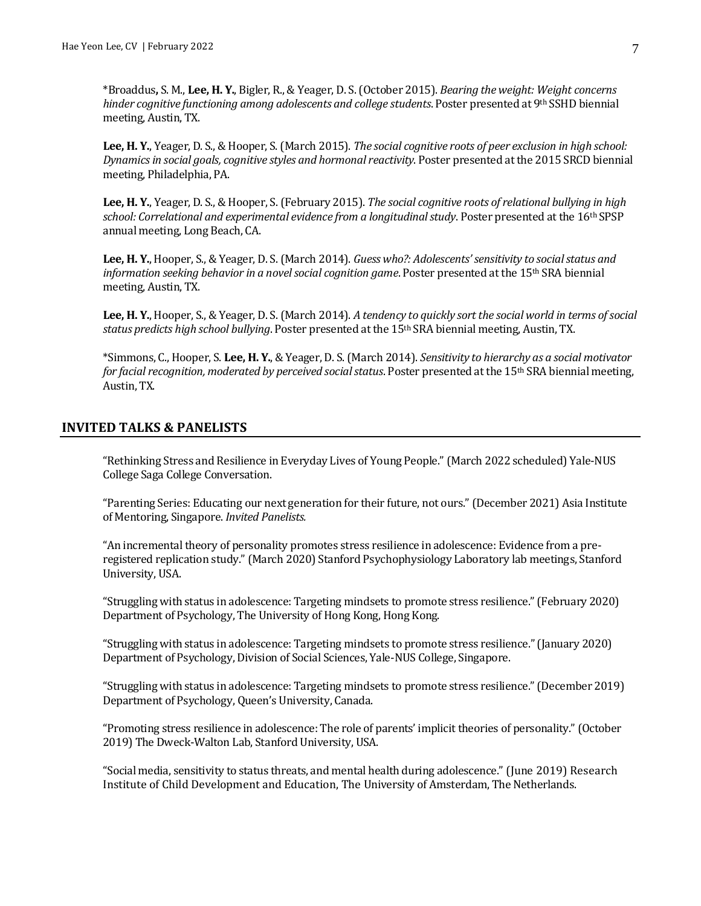\*Broaddus**,** S. M., **Lee, H. Y.**, Bigler, R., & Yeager, D. S. (October 2015). *Bearing the weight: Weight concerns hinder cognitive functioning among adolescents and college students*. Poster presented at 9th SSHD biennial meeting, Austin, TX.

**Lee, H. Y.**, Yeager, D. S., & Hooper, S. (March 2015). *The social cognitive roots of peer exclusion in high school: Dynamics in social goals, cognitive styles and hormonal reactivity*. Poster presented at the 2015 SRCD biennial meeting, Philadelphia, PA.

**Lee, H. Y.**, Yeager, D. S., & Hooper, S. (February 2015). *The social cognitive roots of relational bullying in high school: Correlational and experimental evidence from a longitudinal study*. Poster presented at the 16th SPSP annual meeting, Long Beach, CA.

**Lee, H. Y.**, Hooper, S., & Yeager, D. S. (March 2014). *Guess who?: Adolescents' sensitivity to social status and information seeking behavior in a novel social cognition game*. Poster presented at the 15th SRA biennial meeting, Austin, TX.

**Lee, H. Y.**, Hooper, S., & Yeager, D. S. (March 2014). *A tendency to quickly sort the social world in terms of social status predicts high school bullying*. Poster presented at the 15th SRA biennial meeting, Austin, TX.

\*Simmons, C., Hooper, S. **Lee, H. Y.**, & Yeager, D. S.(March 2014). *Sensitivity to hierarchy as a social motivator for facial recognition, moderated by perceived social status*. Poster presented at the 15th SRA biennial meeting, Austin, TX.

## **INVITED TALKS & PANELISTS**

"Rethinking Stress and Resilience in Everyday Lives of Young People." (March 2022 scheduled) Yale-NUS College Saga College Conversation.

"Parenting Series: Educating our next generation for their future, not ours." (December 2021) Asia Institute of Mentoring, Singapore. *Invited Panelists.*

"An incremental theory of personality promotes stress resilience in adolescence: Evidence from a preregistered replication study." (March 2020) Stanford Psychophysiology Laboratory lab meetings, Stanford University, USA.

"Struggling with status in adolescence: Targeting mindsets to promote stress resilience." (February 2020) Department of Psychology, The University of Hong Kong, Hong Kong.

"Struggling with status in adolescence: Targeting mindsets to promote stress resilience." (January 2020) Department of Psychology, Division of Social Sciences, Yale-NUS College, Singapore.

"Struggling with status in adolescence: Targeting mindsets to promote stress resilience." (December 2019) Department of Psychology, Queen's University, Canada.

"Promoting stress resilience in adolescence: The role of parents' implicit theories of personality." (October 2019) The Dweck-Walton Lab, Stanford University, USA.

"Social media, sensitivity to status threats, and mental health during adolescence." (June 2019) Research Institute of Child Development and Education, The University of Amsterdam, The Netherlands.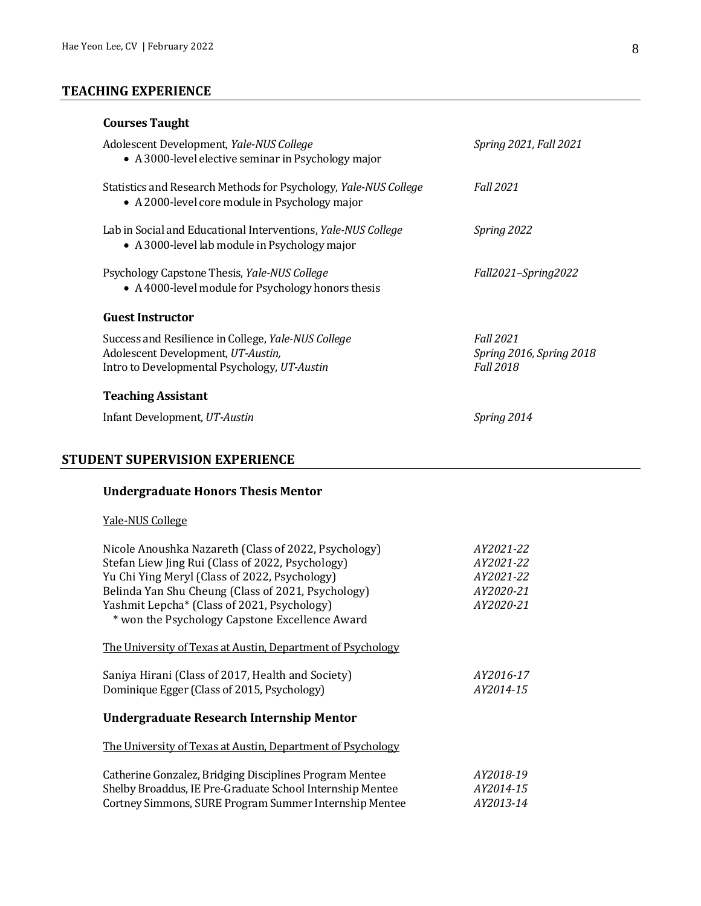# **TEACHING EXPERIENCE**

# **Courses Taught**

| Adolescent Development, Yale-NUS College<br>• A 3000-level elective seminar in Psychology major                                           | Spring 2021, Fall 2021                                           |
|-------------------------------------------------------------------------------------------------------------------------------------------|------------------------------------------------------------------|
| Statistics and Research Methods for Psychology, Yale-NUS College<br>• A 2000-level core module in Psychology major                        | <b>Fall 2021</b>                                                 |
| Lab in Social and Educational Interventions, Yale-NUS College<br>• A 3000-level lab module in Psychology major                            | Spring 2022                                                      |
| Psychology Capstone Thesis, Yale-NUS College<br>• A 4000-level module for Psychology honors thesis                                        | Fall2021-Spring2022                                              |
| <b>Guest Instructor</b>                                                                                                                   |                                                                  |
| Success and Resilience in College, Yale-NUS College<br>Adolescent Development, UT-Austin,<br>Intro to Developmental Psychology, UT-Austin | <b>Fall 2021</b><br>Spring 2016, Spring 2018<br><b>Fall 2018</b> |
| <b>Teaching Assistant</b>                                                                                                                 |                                                                  |
|                                                                                                                                           |                                                                  |

# **STUDENT SUPERVISION EXPERIENCE**

# **Undergraduate Honors Thesis Mentor**

# Yale-NUS College

| Nicole Anoushka Nazareth (Class of 2022, Psychology)        | AY2021-22 |  |  |
|-------------------------------------------------------------|-----------|--|--|
| Stefan Liew Jing Rui (Class of 2022, Psychology)            | AY2021-22 |  |  |
| Yu Chi Ying Meryl (Class of 2022, Psychology)               | AY2021-22 |  |  |
| Belinda Yan Shu Cheung (Class of 2021, Psychology)          | AY2020-21 |  |  |
| Yashmit Lepcha* (Class of 2021, Psychology)                 | AY2020-21 |  |  |
| * won the Psychology Capstone Excellence Award              |           |  |  |
|                                                             |           |  |  |
| The University of Texas at Austin, Department of Psychology |           |  |  |
|                                                             |           |  |  |
| Saniya Hirani (Class of 2017, Health and Society)           | AY2016-17 |  |  |
| Dominique Egger (Class of 2015, Psychology)                 | AY2014-15 |  |  |
|                                                             |           |  |  |
| Undergraduate Research Internship Mentor                    |           |  |  |
|                                                             |           |  |  |
| The University of Texas at Austin, Department of Psychology |           |  |  |
| Catherine Gonzalez, Bridging Disciplines Program Mentee     | AY2018-19 |  |  |
|                                                             |           |  |  |
| Shelby Broaddus, IE Pre-Graduate School Internship Mentee   | AY2014-15 |  |  |
| Cortney Simmons, SURE Program Summer Internship Mentee      | AY2013-14 |  |  |